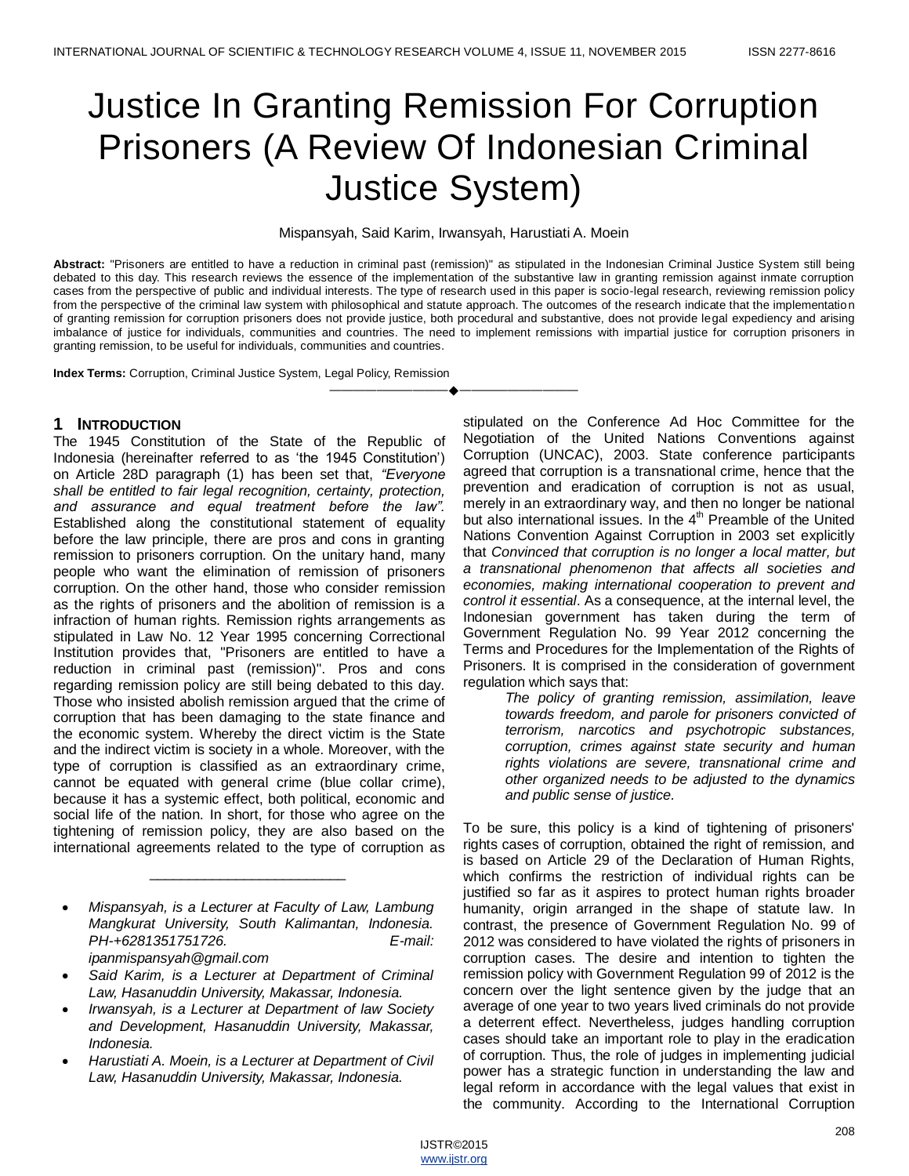# Justice In Granting Remission For Corruption Prisoners (A Review Of Indonesian Criminal Justice System)

## Mispansyah, Said Karim, Irwansyah, Harustiati A. Moein

**Abstract:** "Prisoners are entitled to have a reduction in criminal past (remission)" as stipulated in the Indonesian Criminal Justice System still being debated to this day. This research reviews the essence of the implementation of the substantive law in granting remission against inmate corruption cases from the perspective of public and individual interests. The type of research used in this paper is socio-legal research, reviewing remission policy from the perspective of the criminal law system with philosophical and statute approach. The outcomes of the research indicate that the implementation of granting remission for corruption prisoners does not provide justice, both procedural and substantive, does not provide legal expediency and arising imbalance of justice for individuals, communities and countries. The need to implement remissions with impartial justice for corruption prisoners in granting remission, to be useful for individuals, communities and countries.

————————————————————

**Index Terms:** Corruption, Criminal Justice System, Legal Policy, Remission

## **1 INTRODUCTION**

The 1945 Constitution of the State of the Republic of Indonesia (hereinafter referred to as "the 1945 Constitution") on Article 28D paragraph (1) has been set that, *"Everyone shall be entitled to fair legal recognition, certainty, protection, and assurance and equal treatment before the law".* Established along the constitutional statement of equality before the law principle, there are pros and cons in granting remission to prisoners corruption. On the unitary hand, many people who want the elimination of remission of prisoners corruption. On the other hand, those who consider remission as the rights of prisoners and the abolition of remission is a infraction of human rights. Remission rights arrangements as stipulated in Law No. 12 Year 1995 concerning Correctional Institution provides that, "Prisoners are entitled to have a reduction in criminal past (remission)". Pros and cons regarding remission policy are still being debated to this day. Those who insisted abolish remission argued that the crime of corruption that has been damaging to the state finance and the economic system. Whereby the direct victim is the State and the indirect victim is society in a whole. Moreover, with the type of corruption is classified as an extraordinary crime, cannot be equated with general crime (blue collar crime), because it has a systemic effect, both political, economic and social life of the nation. In short, for those who agree on the tightening of remission policy, they are also based on the international agreements related to the type of corruption as

 *Mispansyah, is a Lecturer at Faculty of Law, Lambung Mangkurat University, South Kalimantan, Indonesia. PH-+6281351751726. E-mail: ipanmispansyah@gmail.com* 

\_\_\_\_\_\_\_\_\_\_\_\_\_\_\_\_\_\_\_\_\_\_\_\_\_

- *Said Karim, is a Lecturer at Department of Criminal Law, Hasanuddin University, Makassar, Indonesia.*
- *Irwansyah, is a Lecturer at Department of law Society and Development, Hasanuddin University, Makassar, Indonesia.*
- *Harustiati A. Moein, is a Lecturer at Department of Civil Law, Hasanuddin University, Makassar, Indonesia.*

stipulated on the Conference Ad Hoc Committee for the Negotiation of the United Nations Conventions against Corruption (UNCAC), 2003. State conference participants agreed that corruption is a transnational crime, hence that the prevention and eradication of corruption is not as usual, merely in an extraordinary way, and then no longer be national but also international issues. In the 4<sup>th</sup> Preamble of the United Nations Convention Against Corruption in 2003 set explicitly that *Convinced that corruption is no longer a local matter, but a transnational phenomenon that affects all societies and economies, making international cooperation to prevent and control it essential*. As a consequence, at the internal level, the Indonesian government has taken during the term of Government Regulation No. 99 Year 2012 concerning the Terms and Procedures for the Implementation of the Rights of Prisoners. It is comprised in the consideration of government regulation which says that:

*The policy of granting remission, assimilation, leave towards freedom, and parole for prisoners convicted of terrorism, narcotics and psychotropic substances, corruption, crimes against state security and human rights violations are severe, transnational crime and other organized needs to be adjusted to the dynamics and public sense of justice.*

To be sure, this policy is a kind of tightening of prisoners' rights cases of corruption, obtained the right of remission, and is based on Article 29 of the Declaration of Human Rights, which confirms the restriction of individual rights can be justified so far as it aspires to protect human rights broader humanity, origin arranged in the shape of statute law. In contrast, the presence of Government Regulation No. 99 of 2012 was considered to have violated the rights of prisoners in corruption cases. The desire and intention to tighten the remission policy with Government Regulation 99 of 2012 is the concern over the light sentence given by the judge that an average of one year to two years lived criminals do not provide a deterrent effect. Nevertheless, judges handling corruption cases should take an important role to play in the eradication of corruption. Thus, the role of judges in implementing judicial power has a strategic function in understanding the law and legal reform in accordance with the legal values that exist in the community. According to the International Corruption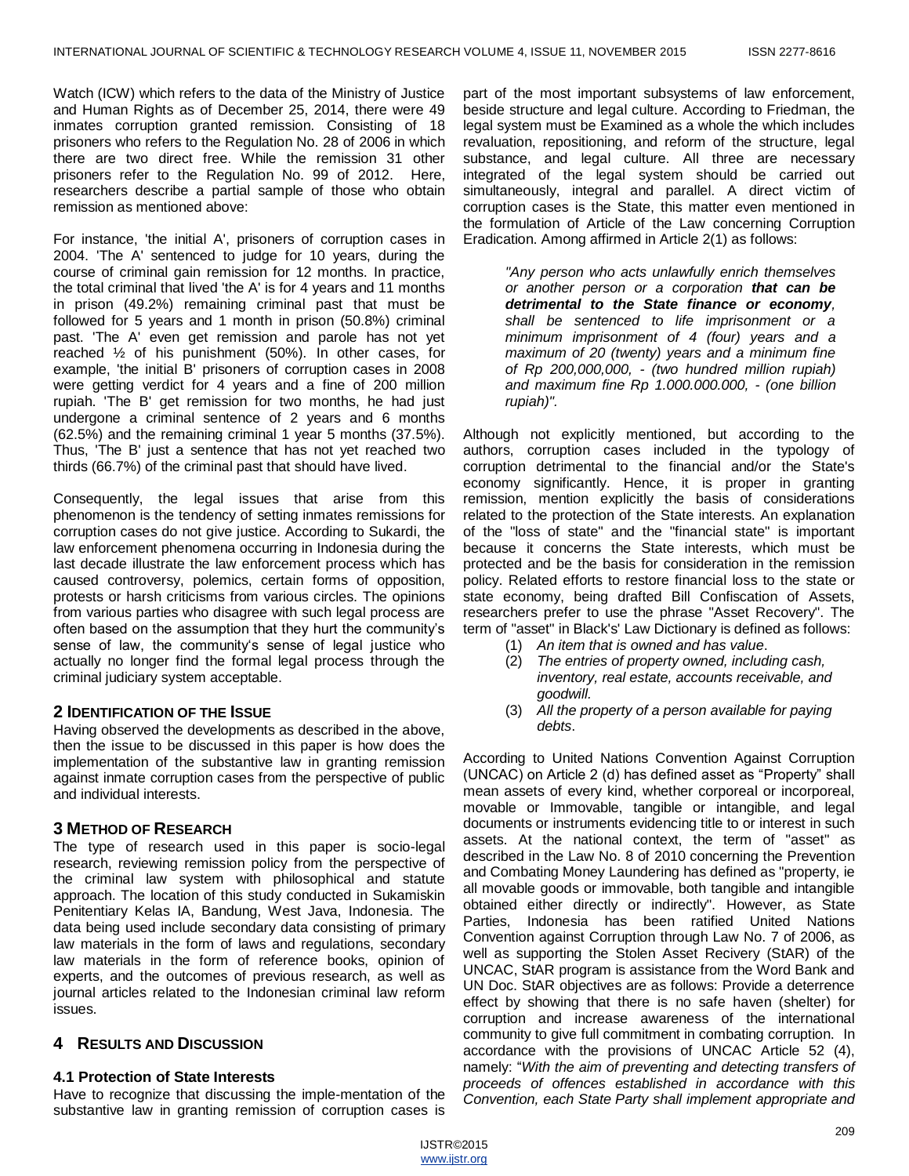Watch (ICW) which refers to the data of the Ministry of Justice and Human Rights as of December 25, 2014, there were 49 inmates corruption granted remission. Consisting of 18 prisoners who refers to the Regulation No. 28 of 2006 in which there are two direct free. While the remission 31 other prisoners refer to the Regulation No. 99 of 2012. Here, researchers describe a partial sample of those who obtain remission as mentioned above:

For instance, 'the initial A', prisoners of corruption cases in 2004. 'The A' sentenced to judge for 10 years, during the course of criminal gain remission for 12 months. In practice, the total criminal that lived 'the A' is for 4 years and 11 months in prison (49.2%) remaining criminal past that must be followed for 5 years and 1 month in prison (50.8%) criminal past. 'The A' even get remission and parole has not yet reached ½ of his punishment (50%). In other cases, for example, 'the initial B' prisoners of corruption cases in 2008 were getting verdict for 4 years and a fine of 200 million rupiah. 'The B' get remission for two months, he had just undergone a criminal sentence of 2 years and 6 months (62.5%) and the remaining criminal 1 year 5 months (37.5%). Thus, 'The B' just a sentence that has not yet reached two thirds (66.7%) of the criminal past that should have lived.

Consequently, the legal issues that arise from this phenomenon is the tendency of setting inmates remissions for corruption cases do not give justice. According to Sukardi, the law enforcement phenomena occurring in Indonesia during the last decade illustrate the law enforcement process which has caused controversy, polemics, certain forms of opposition, protests or harsh criticisms from various circles. The opinions from various parties who disagree with such legal process are often based on the assumption that they hurt the community's sense of law, the community's sense of legal justice who actually no longer find the formal legal process through the criminal judiciary system acceptable.

### **2 IDENTIFICATION OF THE ISSUE**

Having observed the developments as described in the above, then the issue to be discussed in this paper is how does the implementation of the substantive law in granting remission against inmate corruption cases from the perspective of public and individual interests.

## **3 METHOD OF RESEARCH**

The type of research used in this paper is socio-legal research, reviewing remission policy from the perspective of the criminal law system with philosophical and statute approach. The location of this study conducted in Sukamiskin Penitentiary Kelas IA, Bandung, West Java, Indonesia. The data being used include secondary data consisting of primary law materials in the form of laws and regulations, secondary law materials in the form of reference books, opinion of experts, and the outcomes of previous research, as well as journal articles related to the Indonesian criminal law reform issues.

# **4 RESULTS AND DISCUSSION**

### **4.1 Protection of State Interests**

Have to recognize that discussing the imple-mentation of the substantive law in granting remission of corruption cases is

part of the most important subsystems of law enforcement, beside structure and legal culture. According to Friedman, the legal system must be Examined as a whole the which includes revaluation, repositioning, and reform of the structure, legal substance, and legal culture. All three are necessary integrated of the legal system should be carried out simultaneously, integral and parallel. A direct victim of corruption cases is the State, this matter even mentioned in the formulation of Article of the Law concerning Corruption Eradication. Among affirmed in Article 2(1) as follows:

*"Any person who acts unlawfully enrich themselves or another person or a corporation that can be detrimental to the State finance or economy, shall be sentenced to life imprisonment or a minimum imprisonment of 4 (four) years and a maximum of 20 (twenty) years and a minimum fine of Rp 200,000,000, - (two hundred million rupiah) and maximum fine Rp 1.000.000.000, - (one billion rupiah)".*

Although not explicitly mentioned, but according to the authors, corruption cases included in the typology of corruption detrimental to the financial and/or the State's economy significantly. Hence, it is proper in granting remission, mention explicitly the basis of considerations related to the protection of the State interests. An explanation of the "loss of state" and the "financial state" is important because it concerns the State interests, which must be protected and be the basis for consideration in the remission policy. Related efforts to restore financial loss to the state or state economy, being drafted Bill Confiscation of Assets, researchers prefer to use the phrase "Asset Recovery". The term of "asset" in Black's' Law Dictionary is defined as follows:

- (1) *An item that is owned and has value*.
- (2) *The entries of property owned, including cash, inventory, real estate, accounts receivable, and goodwill.*
- (3) *All the property of a person available for paying debts*.

According to United Nations Convention Against Corruption (UNCAC) on Article 2 (d) has defined asset as "Property" shall mean assets of every kind, whether corporeal or incorporeal, movable or Immovable, tangible or intangible, and legal documents or instruments evidencing title to or interest in such assets. At the national context, the term of "asset" as described in the Law No. 8 of 2010 concerning the Prevention and Combating Money Laundering has defined as "property, ie all movable goods or immovable, both tangible and intangible obtained either directly or indirectly". However, as State Parties, Indonesia has been ratified United Nations Convention against Corruption through Law No. 7 of 2006, as well as supporting the Stolen Asset Recivery (StAR) of the UNCAC, StAR program is assistance from the Word Bank and UN Doc. StAR objectives are as follows: Provide a deterrence effect by showing that there is no safe haven (shelter) for corruption and increase awareness of the international community to give full commitment in combating corruption. In accordance with the provisions of UNCAC Article 52 (4), namely: "*With the aim of preventing and detecting transfers of proceeds of offences established in accordance with this Convention, each State Party shall implement appropriate and*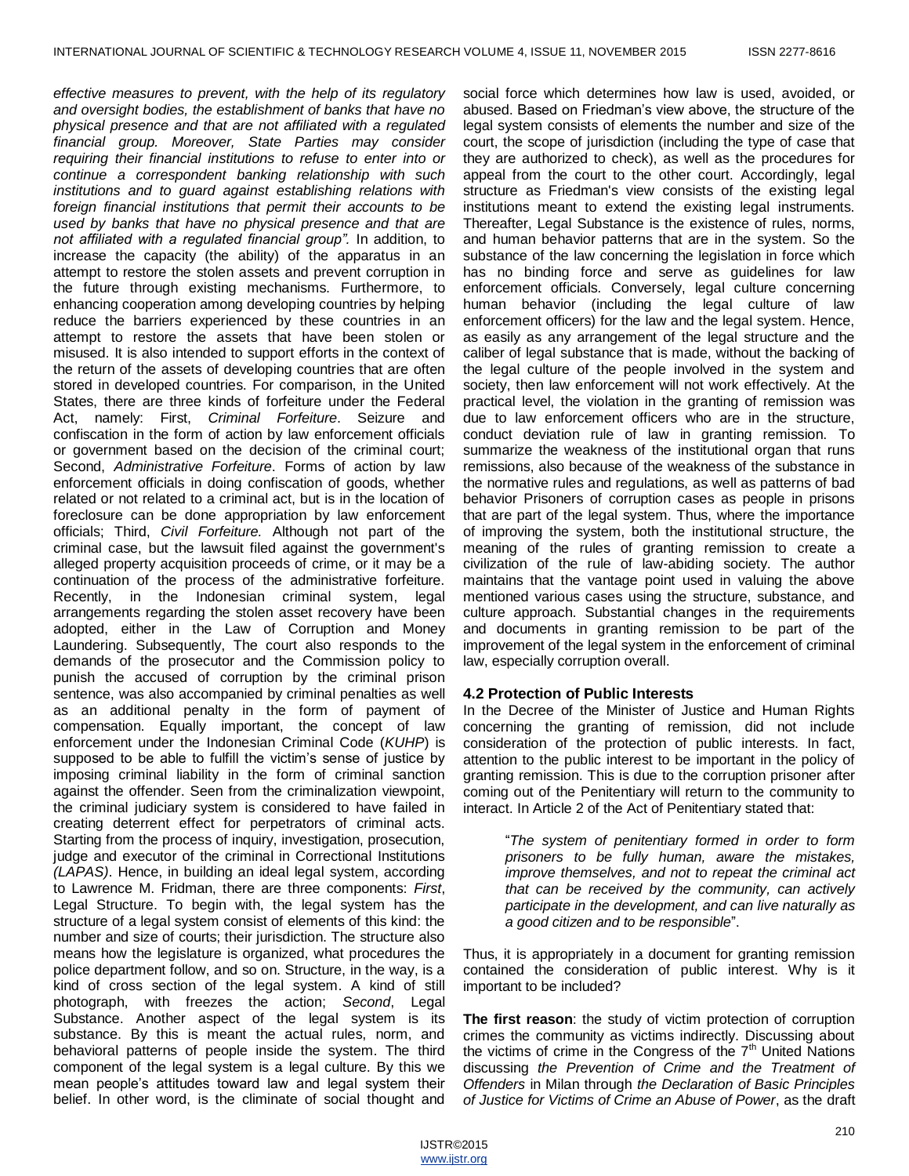*effective measures to prevent, with the help of its regulatory and oversight bodies, the establishment of banks that have no physical presence and that are not affiliated with a regulated financial group. Moreover, State Parties may consider requiring their financial institutions to refuse to enter into or continue a correspondent banking relationship with such institutions and to guard against establishing relations with foreign financial institutions that permit their accounts to be used by banks that have no physical presence and that are not affiliated with a regulated financial group".* In addition, to increase the capacity (the ability) of the apparatus in an attempt to restore the stolen assets and prevent corruption in the future through existing mechanisms. Furthermore, to enhancing cooperation among developing countries by helping reduce the barriers experienced by these countries in an attempt to restore the assets that have been stolen or misused. It is also intended to support efforts in the context of the return of the assets of developing countries that are often stored in developed countries. For comparison, in the United States, there are three kinds of forfeiture under the Federal Act, namely: First, *Criminal Forfeiture*. Seizure and confiscation in the form of action by law enforcement officials or government based on the decision of the criminal court; Second, *Administrative Forfeiture*. Forms of action by law enforcement officials in doing confiscation of goods, whether related or not related to a criminal act, but is in the location of foreclosure can be done appropriation by law enforcement officials; Third, *Civil Forfeiture.* Although not part of the criminal case, but the lawsuit filed against the government's alleged property acquisition proceeds of crime, or it may be a continuation of the process of the administrative forfeiture. Recently, in the Indonesian criminal system, legal arrangements regarding the stolen asset recovery have been adopted, either in the Law of Corruption and Money Laundering. Subsequently, The court also responds to the demands of the prosecutor and the Commission policy to punish the accused of corruption by the criminal prison sentence, was also accompanied by criminal penalties as well as an additional penalty in the form of payment of compensation. Equally important, the concept of law enforcement under the Indonesian Criminal Code (*KUHP*) is supposed to be able to fulfill the victim's sense of justice by imposing criminal liability in the form of criminal sanction against the offender. Seen from the criminalization viewpoint, the criminal judiciary system is considered to have failed in creating deterrent effect for perpetrators of criminal acts. Starting from the process of inquiry, investigation, prosecution, judge and executor of the criminal in Correctional Institutions *(LAPAS)*. Hence, in building an ideal legal system, according to Lawrence M. Fridman, there are three components: *First*, Legal Structure. To begin with, the legal system has the structure of a legal system consist of elements of this kind: the number and size of courts; their jurisdiction. The structure also means how the legislature is organized, what procedures the police department follow, and so on. Structure, in the way, is a kind of cross section of the legal system. A kind of still photograph, with freezes the action; *Second*, Legal Substance. Another aspect of the legal system is its substance. By this is meant the actual rules, norm, and behavioral patterns of people inside the system. The third component of the legal system is a legal culture. By this we mean people"s attitudes toward law and legal system their belief. In other word, is the climinate of social thought and

social force which determines how law is used, avoided, or abused. Based on Friedman"s view above, the structure of the legal system consists of elements the number and size of the court, the scope of jurisdiction (including the type of case that they are authorized to check), as well as the procedures for appeal from the court to the other court. Accordingly, legal structure as Friedman's view consists of the existing legal institutions meant to extend the existing legal instruments. Thereafter, Legal Substance is the existence of rules, norms, and human behavior patterns that are in the system. So the substance of the law concerning the legislation in force which has no binding force and serve as guidelines for law enforcement officials. Conversely, legal culture concerning human behavior (including the legal culture of law enforcement officers) for the law and the legal system. Hence, as easily as any arrangement of the legal structure and the caliber of legal substance that is made, without the backing of the legal culture of the people involved in the system and society, then law enforcement will not work effectively. At the practical level, the violation in the granting of remission was due to law enforcement officers who are in the structure, conduct deviation rule of law in granting remission. To summarize the weakness of the institutional organ that runs remissions, also because of the weakness of the substance in the normative rules and regulations, as well as patterns of bad behavior Prisoners of corruption cases as people in prisons that are part of the legal system. Thus, where the importance of improving the system, both the institutional structure, the meaning of the rules of granting remission to create a civilization of the rule of law-abiding society. The author maintains that the vantage point used in valuing the above mentioned various cases using the structure, substance, and culture approach. Substantial changes in the requirements and documents in granting remission to be part of the improvement of the legal system in the enforcement of criminal law, especially corruption overall.

#### **4.2 Protection of Public Interests**

In the Decree of the Minister of Justice and Human Rights concerning the granting of remission, did not include consideration of the protection of public interests. In fact, attention to the public interest to be important in the policy of granting remission. This is due to the corruption prisoner after coming out of the Penitentiary will return to the community to interact. In Article 2 of the Act of Penitentiary stated that:

> "*The system of penitentiary formed in order to form prisoners to be fully human, aware the mistakes, improve themselves, and not to repeat the criminal act that can be received by the community, can actively participate in the development, and can live naturally as a good citizen and to be responsible*".

Thus, it is appropriately in a document for granting remission contained the consideration of public interest. Why is it important to be included?

**The first reason**: the study of victim protection of corruption crimes the community as victims indirectly. Discussing about the victims of crime in the Congress of the 7<sup>th</sup> United Nations discussing *the Prevention of Crime and the Treatment of Offenders* in Milan through *the Declaration of Basic Principles of Justice for Victims of Crime an Abuse of Power*, as the draft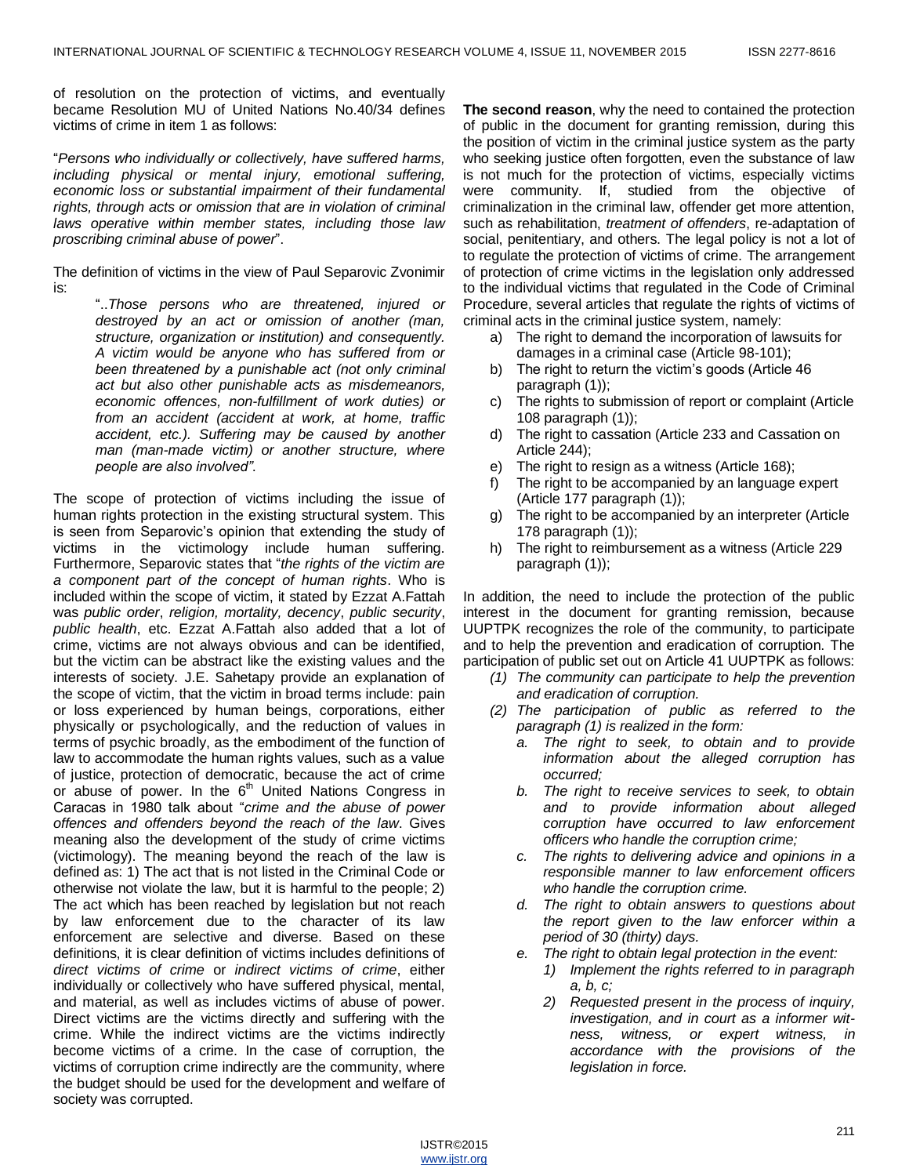of resolution on the protection of victims, and eventually became Resolution MU of United Nations No.40/34 defines victims of crime in item 1 as follows:

"*Persons who individually or collectively, have suffered harms, including physical or mental injury, emotional suffering, economic loss or substantial impairment of their fundamental rights, through acts or omission that are in violation of criminal laws operative within member states, including those law proscribing criminal abuse of power*".

The definition of victims in the view of Paul Separovic Zvonimir is:

> "..*Those persons who are threatened, injured or destroyed by an act or omission of another (man, structure, organization or institution) and consequently. A victim would be anyone who has suffered from or been threatened by a punishable act (not only criminal act but also other punishable acts as misdemeanors, economic offences, non-fulfillment of work duties) or from an accident (accident at work, at home, traffic accident, etc.). Suffering may be caused by another man (man-made victim) or another structure, where people are also involved"*.

The scope of protection of victims including the issue of human rights protection in the existing structural system. This is seen from Separovic"s opinion that extending the study of victims in the victimology include human suffering. Furthermore, Separovic states that "*the rights of the victim are a component part of the concept of human rights*. Who is included within the scope of victim, it stated by Ezzat A.Fattah was *public order*, *religion, mortality, decency*, *public security*, *public health*, etc. Ezzat A.Fattah also added that a lot of crime, victims are not always obvious and can be identified, but the victim can be abstract like the existing values and the interests of society. J.E. Sahetapy provide an explanation of the scope of victim, that the victim in broad terms include: pain or loss experienced by human beings, corporations, either physically or psychologically, and the reduction of values in terms of psychic broadly, as the embodiment of the function of law to accommodate the human rights values, such as a value of justice, protection of democratic, because the act of crime or abuse of power. In the  $6<sup>th</sup>$  United Nations Congress in Caracas in 1980 talk about "*crime and the abuse of power offences and offenders beyond the reach of the law*. Gives meaning also the development of the study of crime victims (victimology). The meaning beyond the reach of the law is defined as: 1) The act that is not listed in the Criminal Code or otherwise not violate the law, but it is harmful to the people; 2) The act which has been reached by legislation but not reach by law enforcement due to the character of its law enforcement are selective and diverse. Based on these definitions, it is clear definition of victims includes definitions of *direct victims of crime* or *indirect victims of crime*, either individually or collectively who have suffered physical, mental, and material, as well as includes victims of abuse of power. Direct victims are the victims directly and suffering with the crime. While the indirect victims are the victims indirectly become victims of a crime. In the case of corruption, the victims of corruption crime indirectly are the community, where the budget should be used for the development and welfare of society was corrupted.

**The second reason**, why the need to contained the protection of public in the document for granting remission, during this the position of victim in the criminal justice system as the party who seeking justice often forgotten, even the substance of law is not much for the protection of victims, especially victims were community. If, studied from the objective of criminalization in the criminal law, offender get more attention, such as rehabilitation, *treatment of offenders*, re-adaptation of social, penitentiary, and others. The legal policy is not a lot of to regulate the protection of victims of crime. The arrangement of protection of crime victims in the legislation only addressed to the individual victims that regulated in the Code of Criminal Procedure, several articles that regulate the rights of victims of criminal acts in the criminal justice system, namely:

- a) The right to demand the incorporation of lawsuits for damages in a criminal case (Article 98-101);
- b) The right to return the victim's goods (Article 46 paragraph (1));
- c) The rights to submission of report or complaint (Article 108 paragraph (1));
- d) The right to cassation (Article 233 and Cassation on Article 244);
- e) The right to resign as a witness (Article 168);
- f) The right to be accompanied by an language expert (Article 177 paragraph (1));
- g) The right to be accompanied by an interpreter (Article 178 paragraph (1));
- h) The right to reimbursement as a witness (Article 229 paragraph (1));

In addition, the need to include the protection of the public interest in the document for granting remission, because UUPTPK recognizes the role of the community, to participate and to help the prevention and eradication of corruption. The participation of public set out on Article 41 UUPTPK as follows:

- *(1) The community can participate to help the prevention and eradication of corruption.*
- *(2) The participation of public as referred to the paragraph (1) is realized in the form:*
	- *a. The right to seek, to obtain and to provide information about the alleged corruption has occurred;*
	- *b. The right to receive services to seek, to obtain and to provide information about alleged corruption have occurred to law enforcement officers who handle the corruption crime;*
	- *c. The rights to delivering advice and opinions in a responsible manner to law enforcement officers who handle the corruption crime.*
	- *d. The right to obtain answers to questions about the report given to the law enforcer within a period of 30 (thirty) days.*
	- *e. The right to obtain legal protection in the event:*
		- *1) Implement the rights referred to in paragraph a, b, c;*
		- *2) Requested present in the process of inquiry, investigation, and in court as a informer witness, witness, or expert witness, in accordance with the provisions of the legislation in force.*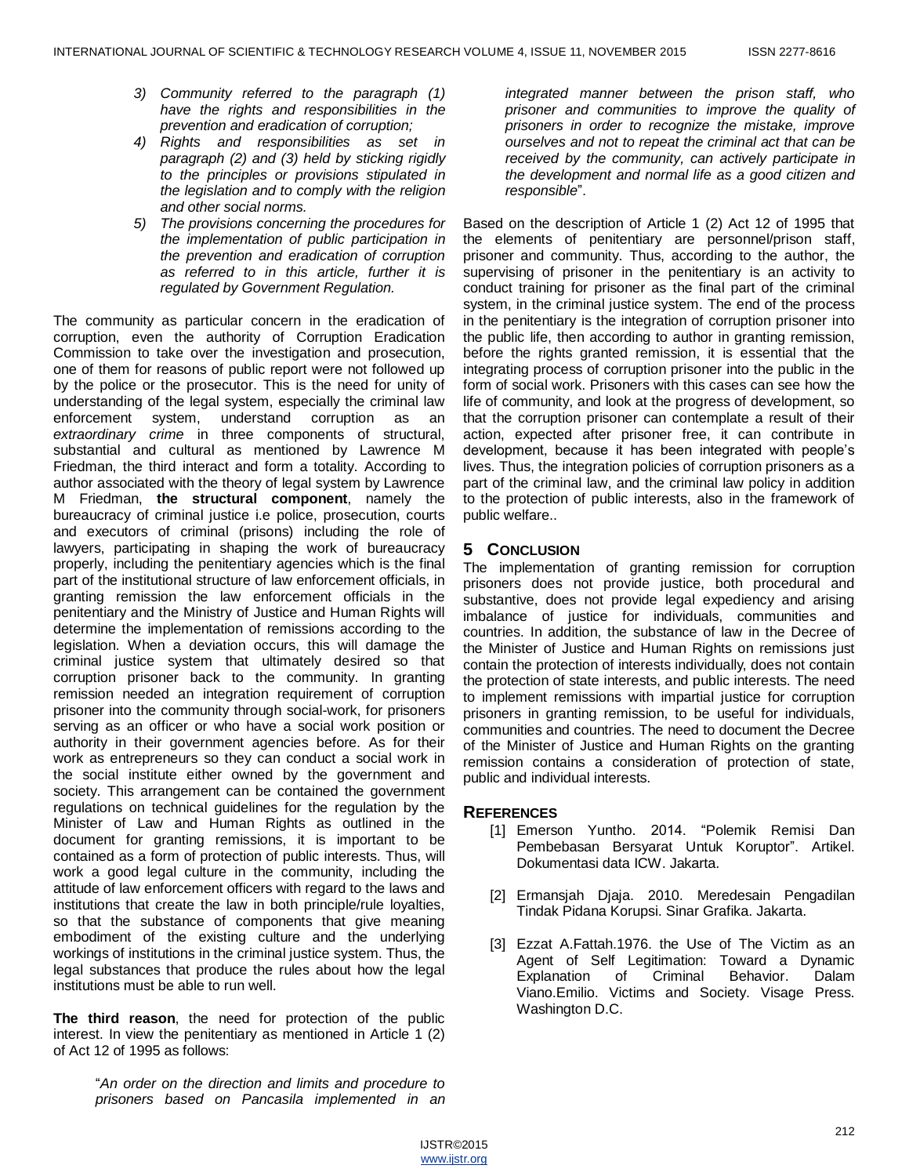- *3) Community referred to the paragraph (1) have the rights and responsibilities in the prevention and eradication of corruption;*
- *4) Rights and responsibilities as set in paragraph (2) and (3) held by sticking rigidly to the principles or provisions stipulated in the legislation and to comply with the religion and other social norms.*
- *5) The provisions concerning the procedures for the implementation of public participation in the prevention and eradication of corruption as referred to in this article, further it is regulated by Government Regulation.*

The community as particular concern in the eradication of corruption, even the authority of Corruption Eradication Commission to take over the investigation and prosecution, one of them for reasons of public report were not followed up by the police or the prosecutor. This is the need for unity of understanding of the legal system, especially the criminal law enforcement system, understand corruption as an *extraordinary crime* in three components of structural, substantial and cultural as mentioned by Lawrence M Friedman, the third interact and form a totality. According to author associated with the theory of legal system by Lawrence M Friedman, **the structural component**, namely the bureaucracy of criminal justice i.e police, prosecution, courts and executors of criminal (prisons) including the role of lawyers, participating in shaping the work of bureaucracy properly, including the penitentiary agencies which is the final part of the institutional structure of law enforcement officials, in granting remission the law enforcement officials in the penitentiary and the Ministry of Justice and Human Rights will determine the implementation of remissions according to the legislation. When a deviation occurs, this will damage the criminal justice system that ultimately desired so that corruption prisoner back to the community. In granting remission needed an integration requirement of corruption prisoner into the community through social-work, for prisoners serving as an officer or who have a social work position or authority in their government agencies before. As for their work as entrepreneurs so they can conduct a social work in the social institute either owned by the government and society. This arrangement can be contained the government regulations on technical guidelines for the regulation by the Minister of Law and Human Rights as outlined in the document for granting remissions, it is important to be contained as a form of protection of public interests. Thus, will work a good legal culture in the community, including the attitude of law enforcement officers with regard to the laws and institutions that create the law in both principle/rule loyalties, so that the substance of components that give meaning embodiment of the existing culture and the underlying workings of institutions in the criminal justice system. Thus, the legal substances that produce the rules about how the legal institutions must be able to run well.

**The third reason**, the need for protection of the public interest. In view the penitentiary as mentioned in Article 1 (2) of Act 12 of 1995 as follows:

> "*An order on the direction and limits and procedure to prisoners based on Pancasila implemented in an*

*integrated manner between the prison staff, who prisoner and communities to improve the quality of prisoners in order to recognize the mistake, improve ourselves and not to repeat the criminal act that can be received by the community, can actively participate in the development and normal life as a good citizen and responsible*".

Based on the description of Article 1 (2) Act 12 of 1995 that the elements of penitentiary are personnel/prison staff, prisoner and community. Thus, according to the author, the supervising of prisoner in the penitentiary is an activity to conduct training for prisoner as the final part of the criminal system, in the criminal justice system. The end of the process in the penitentiary is the integration of corruption prisoner into the public life, then according to author in granting remission, before the rights granted remission, it is essential that the integrating process of corruption prisoner into the public in the form of social work. Prisoners with this cases can see how the life of community, and look at the progress of development, so that the corruption prisoner can contemplate a result of their action, expected after prisoner free, it can contribute in development, because it has been integrated with people"s lives. Thus, the integration policies of corruption prisoners as a part of the criminal law, and the criminal law policy in addition to the protection of public interests, also in the framework of public welfare..

# **5 CONCLUSION**

The implementation of granting remission for corruption prisoners does not provide justice, both procedural and substantive, does not provide legal expediency and arising imbalance of justice for individuals, communities and countries. In addition, the substance of law in the Decree of the Minister of Justice and Human Rights on remissions just contain the protection of interests individually, does not contain the protection of state interests, and public interests. The need to implement remissions with impartial justice for corruption prisoners in granting remission, to be useful for individuals, communities and countries. The need to document the Decree of the Minister of Justice and Human Rights on the granting remission contains a consideration of protection of state, public and individual interests.

## **REFERENCES**

- [1] Emerson Yuntho. 2014. "Polemik Remisi Dan Pembebasan Bersyarat Untuk Koruptor". Artikel. Dokumentasi data ICW. Jakarta.
- [2] Ermansjah Djaja. 2010. Meredesain Pengadilan Tindak Pidana Korupsi. Sinar Grafika. Jakarta.
- [3] Ezzat A.Fattah.1976. the Use of The Victim as an Agent of Self Legitimation: Toward a Dynamic Explanation of Criminal Behavior. Dalam Viano.Emilio. Victims and Society. Visage Press. Washington D.C.